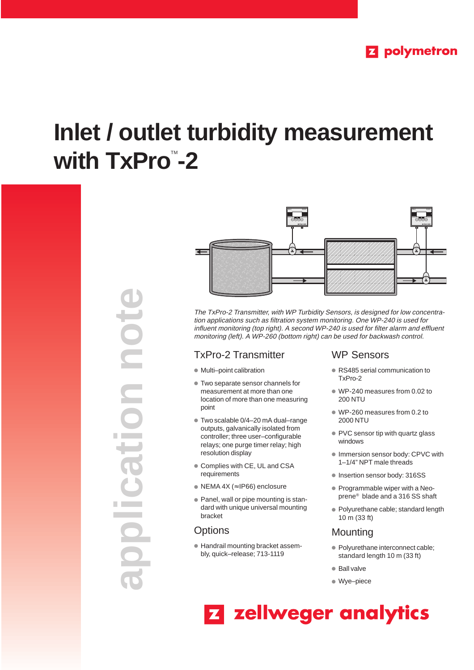# **Inlet / outlet turbidity measurement with TxPro™-2**





The TxPro-2 Transmitter, with WP Turbidity Sensors, is designed for low concentration applications such as filtration system monitoring. One WP-240 is used for influent monitoring (top right). A second WP-240 is used for filter alarm and effluent monitoring (left). A WP-260 (bottom right) can be used for backwash control.

## TxPro-2 Transmitter

- Multi–point calibration
- Two separate sensor channels for measurement at more than one location of more than one measuring point
- Two scalable 0/4–20 mA dual–range outputs, galvanically isolated from controller; three user–configurable relays; one purge timer relay; high resolution display
- Complies with CE, UL and CSA requirements
- NEMA 4X (≈ IP66) enclosure
- Panel, wall or pipe mounting is standard with unique universal mounting bracket

## **Options**

● Handrail mounting bracket assembly, quick–release; 713-1119

## WP Sensors

- RS485 serial communication to TxPro-2
- WP-240 measures from 0.02 to 200 NTU
- WP-260 measures from 0.2 to 2000 NTU
- PVC sensor tip with quartz glass windows
- Immersion sensor body: CPVC with 1–1/4" NPT male threads
- Insertion sensor body: 316SS
- Programmable wiper with a Neoprene® blade and a 316 SS shaft
- Polyurethane cable; standard length 10 m (33 ft)

## **Mounting**

- Polyurethane interconnect cable; standard length 10 m (33 ft)
- Ball valve
- Wye–piece

## **Z** zellweger analytics